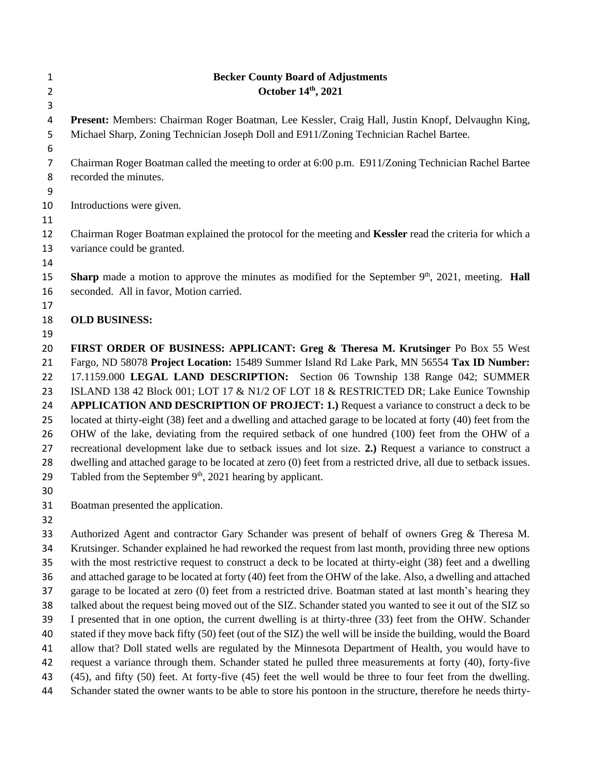| 1                                                                    | <b>Becker County Board of Adjustments</b>                                                                                                                                                                                                                                                                                                                                                                                                                                                                                                                                                                                                                                                                                                                                                                                                                                                                                                                                                                                 |
|----------------------------------------------------------------------|---------------------------------------------------------------------------------------------------------------------------------------------------------------------------------------------------------------------------------------------------------------------------------------------------------------------------------------------------------------------------------------------------------------------------------------------------------------------------------------------------------------------------------------------------------------------------------------------------------------------------------------------------------------------------------------------------------------------------------------------------------------------------------------------------------------------------------------------------------------------------------------------------------------------------------------------------------------------------------------------------------------------------|
| $\overline{2}$                                                       | October 14th, 2021                                                                                                                                                                                                                                                                                                                                                                                                                                                                                                                                                                                                                                                                                                                                                                                                                                                                                                                                                                                                        |
| 3<br>4<br>5                                                          | Present: Members: Chairman Roger Boatman, Lee Kessler, Craig Hall, Justin Knopf, Delvaughn King,<br>Michael Sharp, Zoning Technician Joseph Doll and E911/Zoning Technician Rachel Bartee.                                                                                                                                                                                                                                                                                                                                                                                                                                                                                                                                                                                                                                                                                                                                                                                                                                |
| 6                                                                    |                                                                                                                                                                                                                                                                                                                                                                                                                                                                                                                                                                                                                                                                                                                                                                                                                                                                                                                                                                                                                           |
| 7                                                                    | Chairman Roger Boatman called the meeting to order at 6:00 p.m. E911/Zoning Technician Rachel Bartee<br>recorded the minutes.                                                                                                                                                                                                                                                                                                                                                                                                                                                                                                                                                                                                                                                                                                                                                                                                                                                                                             |
| 8<br>9                                                               |                                                                                                                                                                                                                                                                                                                                                                                                                                                                                                                                                                                                                                                                                                                                                                                                                                                                                                                                                                                                                           |
| 10<br>11                                                             | Introductions were given.                                                                                                                                                                                                                                                                                                                                                                                                                                                                                                                                                                                                                                                                                                                                                                                                                                                                                                                                                                                                 |
| 12<br>13<br>14                                                       | Chairman Roger Boatman explained the protocol for the meeting and Kessler read the criteria for which a<br>variance could be granted.                                                                                                                                                                                                                                                                                                                                                                                                                                                                                                                                                                                                                                                                                                                                                                                                                                                                                     |
| 15<br>16<br>17                                                       | <b>Sharp</b> made a motion to approve the minutes as modified for the September $9th$ , 2021, meeting. <b>Hall</b><br>seconded. All in favor, Motion carried.                                                                                                                                                                                                                                                                                                                                                                                                                                                                                                                                                                                                                                                                                                                                                                                                                                                             |
| 18<br>19                                                             | <b>OLD BUSINESS:</b>                                                                                                                                                                                                                                                                                                                                                                                                                                                                                                                                                                                                                                                                                                                                                                                                                                                                                                                                                                                                      |
| 20<br>21<br>22<br>23<br>24<br>25<br>26<br>27<br>28<br>29<br>30<br>31 | FIRST ORDER OF BUSINESS: APPLICANT: Greg & Theresa M. Krutsinger Po Box 55 West<br>Fargo, ND 58078 Project Location: 15489 Summer Island Rd Lake Park, MN 56554 Tax ID Number:<br>17.1159.000 LEGAL LAND DESCRIPTION: Section 06 Township 138 Range 042; SUMMER<br>ISLAND 138 42 Block 001; LOT 17 & N1/2 OF LOT 18 & RESTRICTED DR; Lake Eunice Township<br>APPLICATION AND DESCRIPTION OF PROJECT: 1.) Request a variance to construct a deck to be<br>located at thirty-eight (38) feet and a dwelling and attached garage to be located at forty (40) feet from the<br>OHW of the lake, deviating from the required setback of one hundred (100) feet from the OHW of a<br>recreational development lake due to setback issues and lot size. 2.) Request a variance to construct a<br>dwelling and attached garage to be located at zero (0) feet from a restricted drive, all due to setback issues.<br>Tabled from the September 9 <sup>th</sup> , 2021 hearing by applicant.<br>Boatman presented the application. |
| 32                                                                   |                                                                                                                                                                                                                                                                                                                                                                                                                                                                                                                                                                                                                                                                                                                                                                                                                                                                                                                                                                                                                           |
| 33<br>34                                                             | Authorized Agent and contractor Gary Schander was present of behalf of owners Greg & Theresa M.<br>Krutsinger. Schander explained he had reworked the request from last month, providing three new options                                                                                                                                                                                                                                                                                                                                                                                                                                                                                                                                                                                                                                                                                                                                                                                                                |

 with the most restrictive request to construct a deck to be located at thirty-eight (38) feet and a dwelling and attached garage to be located at forty (40) feet from the OHW of the lake. Also, a dwelling and attached garage to be located at zero (0) feet from a restricted drive. Boatman stated at last month's hearing they talked about the request being moved out of the SIZ. Schander stated you wanted to see it out of the SIZ so I presented that in one option, the current dwelling is at thirty-three (33) feet from the OHW. Schander stated if they move back fifty (50) feet (out of the SIZ) the well will be inside the building, would the Board allow that? Doll stated wells are regulated by the Minnesota Department of Health, you would have to request a variance through them. Schander stated he pulled three measurements at forty (40), forty-five (45), and fifty (50) feet. At forty-five (45) feet the well would be three to four feet from the dwelling.

Schander stated the owner wants to be able to store his pontoon in the structure, therefore he needs thirty-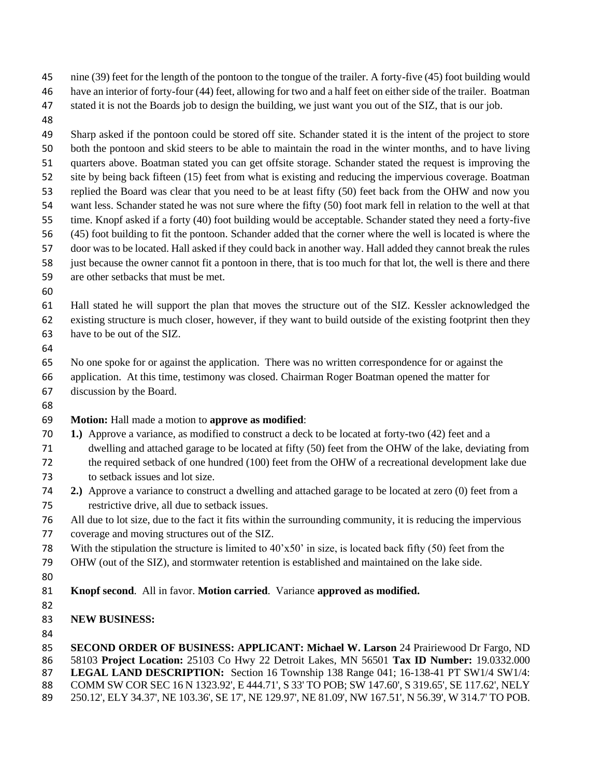nine (39) feet for the length of the pontoon to the tongue of the trailer. A forty-five (45) foot building would

- have an interior of forty-four (44) feet, allowing for two and a half feet on either side of the trailer. Boatman
- stated it is not the Boards job to design the building, we just want you out of the SIZ, that is our job.
- 

 Sharp asked if the pontoon could be stored off site. Schander stated it is the intent of the project to store both the pontoon and skid steers to be able to maintain the road in the winter months, and to have living quarters above. Boatman stated you can get offsite storage. Schander stated the request is improving the site by being back fifteen (15) feet from what is existing and reducing the impervious coverage. Boatman replied the Board was clear that you need to be at least fifty (50) feet back from the OHW and now you want less. Schander stated he was not sure where the fifty (50) foot mark fell in relation to the well at that time. Knopf asked if a forty (40) foot building would be acceptable. Schander stated they need a forty-five (45) foot building to fit the pontoon. Schander added that the corner where the well is located is where the door was to be located. Hall asked if they could back in another way. Hall added they cannot break the rules just because the owner cannot fit a pontoon in there, that is too much for that lot, the well is there and there

are other setbacks that must be met.

 Hall stated he will support the plan that moves the structure out of the SIZ. Kessler acknowledged the existing structure is much closer, however, if they want to build outside of the existing footprint then they have to be out of the SIZ.

 No one spoke for or against the application. There was no written correspondence for or against the application. At this time, testimony was closed. Chairman Roger Boatman opened the matter for

- discussion by the Board.
- 

## **Motion:** Hall made a motion to **approve as modified**:

- **1.)** Approve a variance, as modified to construct a deck to be located at forty-two (42) feet and a
- dwelling and attached garage to be located at fifty (50) feet from the OHW of the lake, deviating from
- the required setback of one hundred (100) feet from the OHW of a recreational development lake due to setback issues and lot size.
- **2.)** Approve a variance to construct a dwelling and attached garage to be located at zero (0) feet from a restrictive drive, all due to setback issues.
- All due to lot size, due to the fact it fits within the surrounding community, it is reducing the impervious
- coverage and moving structures out of the SIZ.
- With the stipulation the structure is limited to 40'x50' in size, is located back fifty (50) feet from the
- OHW (out of the SIZ), and stormwater retention is established and maintained on the lake side.
- 
- **Knopf second**. All in favor. **Motion carried**. Variance **approved as modified.**
- 
- **NEW BUSINESS:**

 **SECOND ORDER OF BUSINESS: APPLICANT: Michael W. Larson** 24 Prairiewood Dr Fargo, ND 58103 **Project Location:** 25103 Co Hwy 22 Detroit Lakes, MN 56501 **Tax ID Number:** 19.0332.000 **LEGAL LAND DESCRIPTION:** Section 16 Township 138 Range 041; 16-138-41 PT SW1/4 SW1/4: COMM SW COR SEC 16 N 1323.92', E 444.71', S 33' TO POB; SW 147.60', S 319.65', SE 117.62', NELY 250.12', ELY 34.37', NE 103.36', SE 17', NE 129.97', NE 81.09', NW 167.51', N 56.39', W 314.7' TO POB.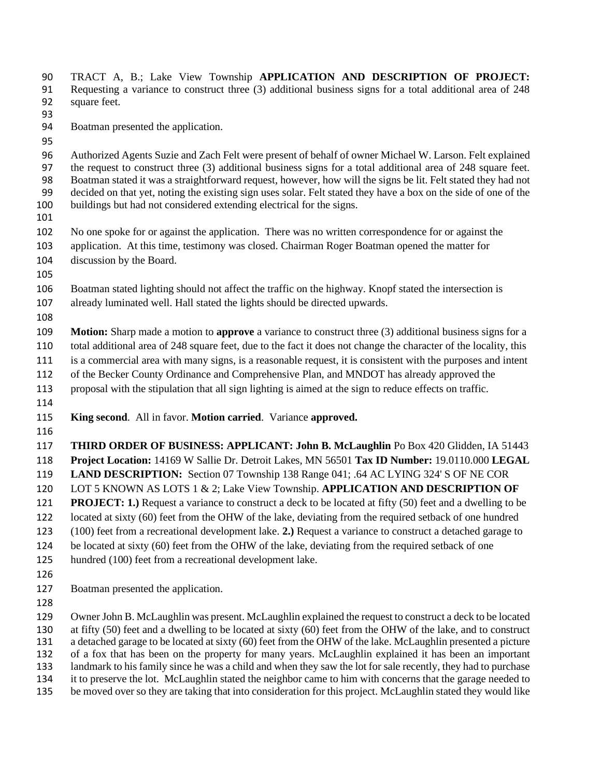TRACT A, B.; Lake View Township **APPLICATION AND DESCRIPTION OF PROJECT:**  Requesting a variance to construct three (3) additional business signs for a total additional area of 248 square feet. Boatman presented the application. Authorized Agents Suzie and Zach Felt were present of behalf of owner Michael W. Larson. Felt explained the request to construct three (3) additional business signs for a total additional area of 248 square feet. Boatman stated it was a straightforward request, however, how will the signs be lit. Felt stated they had not decided on that yet, noting the existing sign uses solar. Felt stated they have a box on the side of one of the buildings but had not considered extending electrical for the signs. No one spoke for or against the application. There was no written correspondence for or against the application. At this time, testimony was closed. Chairman Roger Boatman opened the matter for discussion by the Board. Boatman stated lighting should not affect the traffic on the highway. Knopf stated the intersection is already luminated well. Hall stated the lights should be directed upwards. **Motion:** Sharp made a motion to **approve** a variance to construct three (3) additional business signs for a total additional area of 248 square feet, due to the fact it does not change the character of the locality, this is a commercial area with many signs, is a reasonable request, it is consistent with the purposes and intent of the Becker County Ordinance and Comprehensive Plan, and MNDOT has already approved the proposal with the stipulation that all sign lighting is aimed at the sign to reduce effects on traffic. **King second**. All in favor. **Motion carried**. Variance **approved. THIRD ORDER OF BUSINESS: APPLICANT: John B. McLaughlin** Po Box 420 Glidden, IA 51443 **Project Location:** 14169 W Sallie Dr. Detroit Lakes, MN 56501 **Tax ID Number:** 19.0110.000 **LEGAL LAND DESCRIPTION:** Section 07 Township 138 Range 041; .64 AC LYING 324' S OF NE COR LOT 5 KNOWN AS LOTS 1 & 2; Lake View Township. **APPLICATION AND DESCRIPTION OF PROJECT: 1.)** Request a variance to construct a deck to be located at fifty (50) feet and a dwelling to be located at sixty (60) feet from the OHW of the lake, deviating from the required setback of one hundred (100) feet from a recreational development lake. **2.)** Request a variance to construct a detached garage to be located at sixty (60) feet from the OHW of the lake, deviating from the required setback of one hundred (100) feet from a recreational development lake. Boatman presented the application. Owner John B. McLaughlin was present. McLaughlin explained the request to construct a deck to be located at fifty (50) feet and a dwelling to be located at sixty (60) feet from the OHW of the lake, and to construct a detached garage to be located at sixty (60) feet from the OHW of the lake. McLaughlin presented a picture of a fox that has been on the property for many years. McLaughlin explained it has been an important landmark to his family since he was a child and when they saw the lot for sale recently, they had to purchase

 it to preserve the lot. McLaughlin stated the neighbor came to him with concerns that the garage needed to be moved over so they are taking that into consideration for this project. McLaughlin stated they would like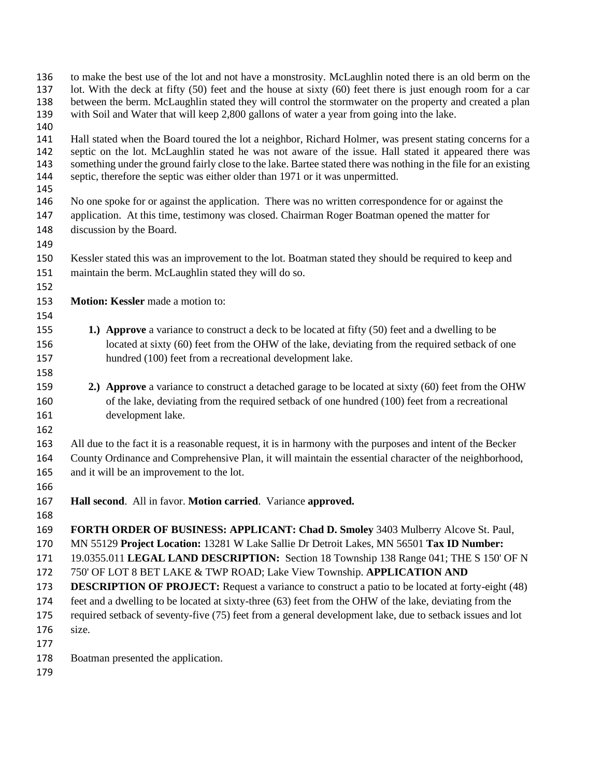| 136<br>137<br>138<br>139        | to make the best use of the lot and not have a monstrosity. McLaughlin noted there is an old berm on the<br>lot. With the deck at fifty (50) feet and the house at sixty (60) feet there is just enough room for a car<br>between the berm. McLaughlin stated they will control the stormwater on the property and created a plan<br>with Soil and Water that will keep 2,800 gallons of water a year from going into the lake. |  |  |  |  |  |
|---------------------------------|---------------------------------------------------------------------------------------------------------------------------------------------------------------------------------------------------------------------------------------------------------------------------------------------------------------------------------------------------------------------------------------------------------------------------------|--|--|--|--|--|
| 140<br>141<br>142<br>143<br>144 | Hall stated when the Board toured the lot a neighbor, Richard Holmer, was present stating concerns for a<br>septic on the lot. McLaughlin stated he was not aware of the issue. Hall stated it appeared there was<br>something under the ground fairly close to the lake. Bartee stated there was nothing in the file for an existing<br>septic, therefore the septic was either older than 1971 or it was unpermitted.         |  |  |  |  |  |
| 145<br>146<br>147<br>148<br>149 | No one spoke for or against the application. There was no written correspondence for or against the<br>application. At this time, testimony was closed. Chairman Roger Boatman opened the matter for<br>discussion by the Board.                                                                                                                                                                                                |  |  |  |  |  |
| 150<br>151<br>152               | Kessler stated this was an improvement to the lot. Boatman stated they should be required to keep and<br>maintain the berm. McLaughlin stated they will do so.                                                                                                                                                                                                                                                                  |  |  |  |  |  |
| 153<br>154                      | Motion: Kessler made a motion to:                                                                                                                                                                                                                                                                                                                                                                                               |  |  |  |  |  |
| 155<br>156<br>157<br>158        | 1.) Approve a variance to construct a deck to be located at fifty (50) feet and a dwelling to be<br>located at sixty (60) feet from the OHW of the lake, deviating from the required setback of one<br>hundred (100) feet from a recreational development lake.                                                                                                                                                                 |  |  |  |  |  |
| 159<br>160<br>161<br>162        | 2.) Approve a variance to construct a detached garage to be located at sixty (60) feet from the OHW<br>of the lake, deviating from the required setback of one hundred (100) feet from a recreational<br>development lake.                                                                                                                                                                                                      |  |  |  |  |  |
| 163<br>164<br>165<br>166        | All due to the fact it is a reasonable request, it is in harmony with the purposes and intent of the Becker<br>County Ordinance and Comprehensive Plan, it will maintain the essential character of the neighborhood,<br>and it will be an improvement to the lot.                                                                                                                                                              |  |  |  |  |  |
| 167<br>168                      | Hall second. All in favor. Motion carried. Variance approved.                                                                                                                                                                                                                                                                                                                                                                   |  |  |  |  |  |
| 169<br>170<br>171               | FORTH ORDER OF BUSINESS: APPLICANT: Chad D. Smoley 3403 Mulberry Alcove St. Paul,<br>MN 55129 Project Location: 13281 W Lake Sallie Dr Detroit Lakes, MN 56501 Tax ID Number:<br>19.0355.011 LEGAL LAND DESCRIPTION: Section 18 Township 138 Range 041; THE S 150' OF N                                                                                                                                                         |  |  |  |  |  |
| 172<br>173<br>174<br>175        | 750' OF LOT 8 BET LAKE & TWP ROAD; Lake View Township. APPLICATION AND<br><b>DESCRIPTION OF PROJECT:</b> Request a variance to construct a patio to be located at forty-eight (48)<br>feet and a dwelling to be located at sixty-three (63) feet from the OHW of the lake, deviating from the<br>required setback of seventy-five (75) feet from a general development lake, due to setback issues and lot                      |  |  |  |  |  |
| 176<br>177<br>178               | size.                                                                                                                                                                                                                                                                                                                                                                                                                           |  |  |  |  |  |
| 170                             | Boatman presented the application.                                                                                                                                                                                                                                                                                                                                                                                              |  |  |  |  |  |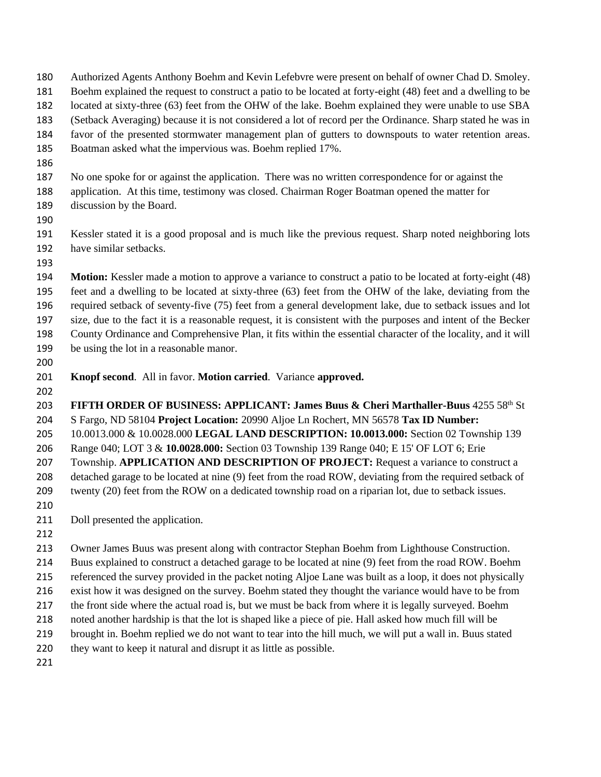- Authorized Agents Anthony Boehm and Kevin Lefebvre were present on behalf of owner Chad D. Smoley.
- Boehm explained the request to construct a patio to be located at forty-eight (48) feet and a dwelling to be
- located at sixty-three (63) feet from the OHW of the lake. Boehm explained they were unable to use SBA
- (Setback Averaging) because it is not considered a lot of record per the Ordinance. Sharp stated he was in
- favor of the presented stormwater management plan of gutters to downspouts to water retention areas.
- Boatman asked what the impervious was. Boehm replied 17%.
- 
- No one spoke for or against the application. There was no written correspondence for or against the
- application. At this time, testimony was closed. Chairman Roger Boatman opened the matter for
- discussion by the Board.
- 

 Kessler stated it is a good proposal and is much like the previous request. Sharp noted neighboring lots have similar setbacks.

 **Motion:** Kessler made a motion to approve a variance to construct a patio to be located at forty-eight (48) feet and a dwelling to be located at sixty-three (63) feet from the OHW of the lake, deviating from the required setback of seventy-five (75) feet from a general development lake, due to setback issues and lot size, due to the fact it is a reasonable request, it is consistent with the purposes and intent of the Becker County Ordinance and Comprehensive Plan, it fits within the essential character of the locality, and it will be using the lot in a reasonable manor.

- 
- **Knopf second**. All in favor. **Motion carried**. Variance **approved.**
- 

**FIFTH ORDER OF BUSINESS: APPLICANT: James Buus & Cheri Marthaller-Buus 4255 58th St**  S Fargo, ND 58104 **Project Location:** 20990 Aljoe Ln Rochert, MN 56578 **Tax ID Number:**  10.0013.000 & 10.0028.000 **LEGAL LAND DESCRIPTION: 10.0013.000:** Section 02 Township 139 Range 040; LOT 3 & **10.0028.000:** Section 03 Township 139 Range 040; E 15' OF LOT 6; Erie Township. **APPLICATION AND DESCRIPTION OF PROJECT:** Request a variance to construct a detached garage to be located at nine (9) feet from the road ROW, deviating from the required setback of 209 twenty (20) feet from the ROW on a dedicated township road on a riparian lot, due to setback issues. 

- 211 Doll presented the application.
- 

 Owner James Buus was present along with contractor Stephan Boehm from Lighthouse Construction. Buus explained to construct a detached garage to be located at nine (9) feet from the road ROW. Boehm referenced the survey provided in the packet noting Aljoe Lane was built as a loop, it does not physically exist how it was designed on the survey. Boehm stated they thought the variance would have to be from 217 the front side where the actual road is, but we must be back from where it is legally surveyed. Boehm noted another hardship is that the lot is shaped like a piece of pie. Hall asked how much fill will be brought in. Boehm replied we do not want to tear into the hill much, we will put a wall in. Buus stated

they want to keep it natural and disrupt it as little as possible.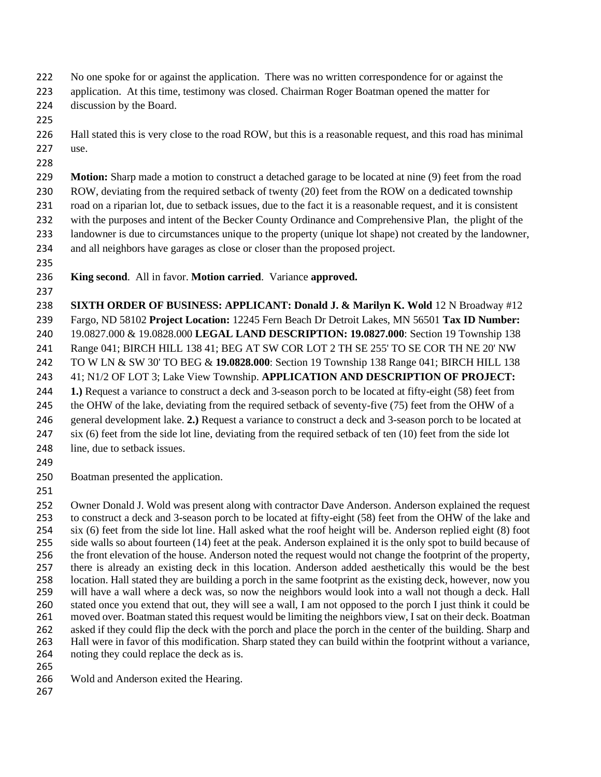- No one spoke for or against the application. There was no written correspondence for or against the
- application. At this time, testimony was closed. Chairman Roger Boatman opened the matter for
- discussion by the Board.
- 
- Hall stated this is very close to the road ROW, but this is a reasonable request, and this road has minimal use.
- 
- **Motion:** Sharp made a motion to construct a detached garage to be located at nine (9) feet from the road ROW, deviating from the required setback of twenty (20) feet from the ROW on a dedicated township road on a riparian lot, due to setback issues, due to the fact it is a reasonable request, and it is consistent with the purposes and intent of the Becker County Ordinance and Comprehensive Plan, the plight of the landowner is due to circumstances unique to the property (unique lot shape) not created by the landowner, and all neighbors have garages as close or closer than the proposed project.
- 
- **King second**. All in favor. **Motion carried**. Variance **approved.**
- 

 **SIXTH ORDER OF BUSINESS: APPLICANT: Donald J. & Marilyn K. Wold** 12 N Broadway #12 Fargo, ND 58102 **Project Location:** 12245 Fern Beach Dr Detroit Lakes, MN 56501 **Tax ID Number:**  19.0827.000 & 19.0828.000 **LEGAL LAND DESCRIPTION: 19.0827.000**: Section 19 Township 138 Range 041; BIRCH HILL 138 41; BEG AT SW COR LOT 2 TH SE 255' TO SE COR TH NE 20' NW TO W LN & SW 30' TO BEG & **19.0828.000**: Section 19 Township 138 Range 041; BIRCH HILL 138 41; N1/2 OF LOT 3; Lake View Township. **APPLICATION AND DESCRIPTION OF PROJECT: 1.)** Request a variance to construct a deck and 3-season porch to be located at fifty-eight (58) feet from the OHW of the lake, deviating from the required setback of seventy-five (75) feet from the OHW of a general development lake. **2.)** Request a variance to construct a deck and 3-season porch to be located at six (6) feet from the side lot line, deviating from the required setback of ten (10) feet from the side lot 248 line, due to setback issues.

- 
- Boatman presented the application.
- 

252 Owner Donald J. Wold was present along with contractor Dave Anderson. Anderson explained the request<br>253 to construct a deck and 3-season porch to be located at fifty-eight (58) feet from the OHW of the lake and to construct a deck and 3-season porch to be located at fifty-eight (58) feet from the OHW of the lake and six (6) feet from the side lot line. Hall asked what the roof height will be. Anderson replied eight (8) foot side walls so about fourteen (14) feet at the peak. Anderson explained it is the only spot to build because of the front elevation of the house. Anderson noted the request would not change the footprint of the property, there is already an existing deck in this location. Anderson added aesthetically this would be the best location. Hall stated they are building a porch in the same footprint as the existing deck, however, now you will have a wall where a deck was, so now the neighbors would look into a wall not though a deck. Hall stated once you extend that out, they will see a wall, I am not opposed to the porch I just think it could be moved over. Boatman stated this request would be limiting the neighbors view, I sat on their deck. Boatman asked if they could flip the deck with the porch and place the porch in the center of the building. Sharp and Hall were in favor of this modification. Sharp stated they can build within the footprint without a variance, noting they could replace the deck as is.

- 
- Wold and Anderson exited the Hearing.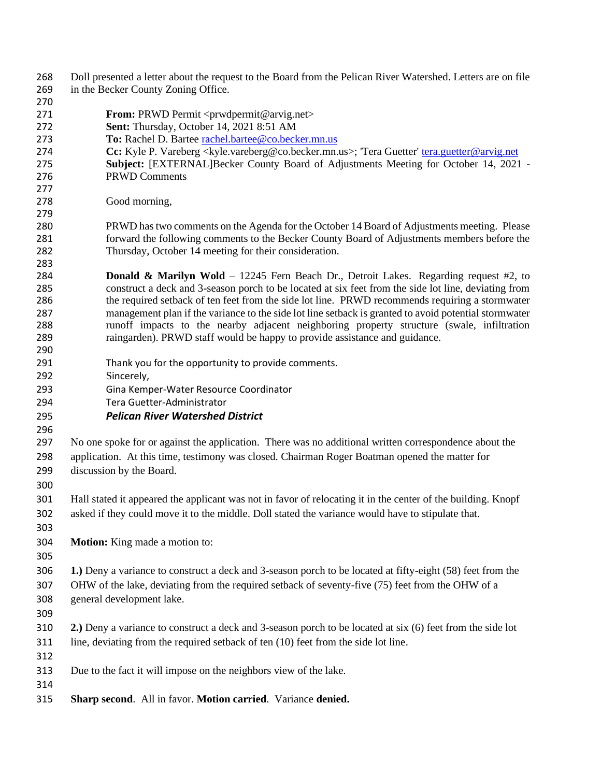| 268        | Doll presented a letter about the request to the Board from the Pelican River Watershed. Letters are on file |  |  |  |  |
|------------|--------------------------------------------------------------------------------------------------------------|--|--|--|--|
| 269        | in the Becker County Zoning Office.                                                                          |  |  |  |  |
| 270        |                                                                                                              |  |  |  |  |
| 271        | <b>From:</b> PRWD Permit <prwdpermit@arvig.net></prwdpermit@arvig.net>                                       |  |  |  |  |
| 272        | Sent: Thursday, October 14, 2021 8:51 AM                                                                     |  |  |  |  |
| 273        | To: Rachel D. Bartee rachel.bartee@co.becker.mn.us                                                           |  |  |  |  |
| 274        | Cc: Kyle P. Vareberg < kyle.vareberg@co.becker.mn.us>; 'Tera Guetter' tera.guetter@arvig.net                 |  |  |  |  |
| 275        | Subject: [EXTERNAL]Becker County Board of Adjustments Meeting for October 14, 2021 -                         |  |  |  |  |
| 276        | <b>PRWD Comments</b>                                                                                         |  |  |  |  |
| 277        |                                                                                                              |  |  |  |  |
| 278<br>279 | Good morning,                                                                                                |  |  |  |  |
| 280        | PRWD has two comments on the Agenda for the October 14 Board of Adjustments meeting. Please                  |  |  |  |  |
| 281        | forward the following comments to the Becker County Board of Adjustments members before the                  |  |  |  |  |
| 282        | Thursday, October 14 meeting for their consideration.                                                        |  |  |  |  |
| 283        |                                                                                                              |  |  |  |  |
| 284        | <b>Donald &amp; Marilyn Wold</b> – 12245 Fern Beach Dr., Detroit Lakes. Regarding request #2, to             |  |  |  |  |
| 285        | construct a deck and 3-season porch to be located at six feet from the side lot line, deviating from         |  |  |  |  |
| 286        | the required setback of ten feet from the side lot line. PRWD recommends requiring a stormwater              |  |  |  |  |
| 287        | management plan if the variance to the side lot line setback is granted to avoid potential stormwater        |  |  |  |  |
| 288        | runoff impacts to the nearby adjacent neighboring property structure (swale, infiltration                    |  |  |  |  |
| 289        | raingarden). PRWD staff would be happy to provide assistance and guidance.                                   |  |  |  |  |
| 290        |                                                                                                              |  |  |  |  |
| 291        | Thank you for the opportunity to provide comments.                                                           |  |  |  |  |
| 292        | Sincerely,                                                                                                   |  |  |  |  |
| 293        | Gina Kemper-Water Resource Coordinator                                                                       |  |  |  |  |
| 294        | Tera Guetter-Administrator                                                                                   |  |  |  |  |
| 295        | <b>Pelican River Watershed District</b>                                                                      |  |  |  |  |
| 296        |                                                                                                              |  |  |  |  |
| 297        | No one spoke for or against the application. There was no additional written correspondence about the        |  |  |  |  |
| 298        | application. At this time, testimony was closed. Chairman Roger Boatman opened the matter for                |  |  |  |  |
|            |                                                                                                              |  |  |  |  |
| 299        | discussion by the Board.                                                                                     |  |  |  |  |
| 300        |                                                                                                              |  |  |  |  |
| 301        | Hall stated it appeared the applicant was not in favor of relocating it in the center of the building. Knopf |  |  |  |  |
| 302        | asked if they could move it to the middle. Doll stated the variance would have to stipulate that.            |  |  |  |  |
| 303        |                                                                                                              |  |  |  |  |
| 304        | Motion: King made a motion to:                                                                               |  |  |  |  |
| 305        |                                                                                                              |  |  |  |  |
| 306        | 1.) Deny a variance to construct a deck and 3-season porch to be located at fifty-eight (58) feet from the   |  |  |  |  |
|            |                                                                                                              |  |  |  |  |
| 307        | OHW of the lake, deviating from the required setback of seventy-five (75) feet from the OHW of a             |  |  |  |  |
| 308        | general development lake.                                                                                    |  |  |  |  |
| 309        |                                                                                                              |  |  |  |  |
| 310        | 2.) Deny a variance to construct a deck and 3-season porch to be located at six (6) feet from the side lot   |  |  |  |  |
| 311        | line, deviating from the required setback of ten (10) feet from the side lot line.                           |  |  |  |  |
| 312        |                                                                                                              |  |  |  |  |
| 313        | Due to the fact it will impose on the neighbors view of the lake.                                            |  |  |  |  |
| 314        |                                                                                                              |  |  |  |  |
| 315        | Sharp second. All in favor. Motion carried. Variance denied.                                                 |  |  |  |  |
|            |                                                                                                              |  |  |  |  |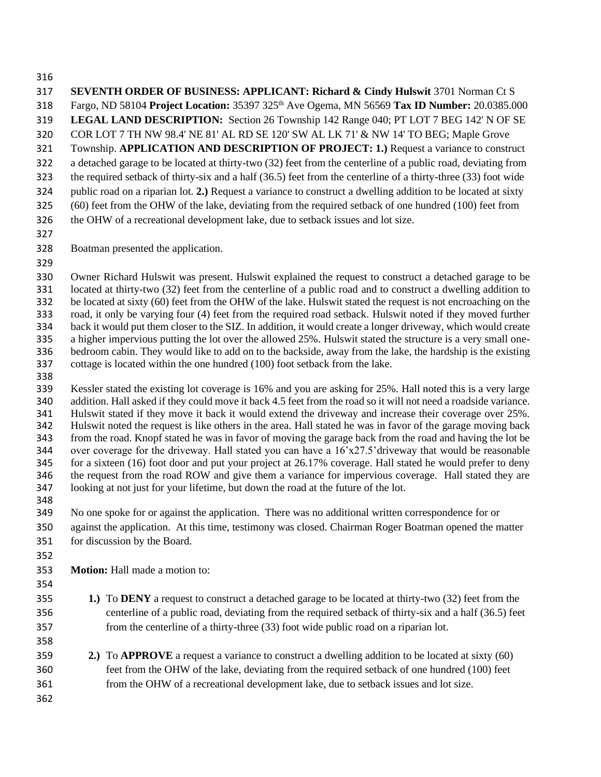COR LOT 7 TH NW 98.4' NE 81' AL RD SE 120' SW AL LK 71' & NW 14' TO BEG; Maple Grove Township. **APPLICATION AND DESCRIPTION OF PROJECT: 1.)** Request a variance to construct a detached garage to be located at thirty-two (32) feet from the centerline of a public road, deviating from the required setback of thirty-six and a half (36.5) feet from the centerline of a thirty-three (33) foot wide public road on a riparian lot. **2.)** Request a variance to construct a dwelling addition to be located at sixty (60) feet from the OHW of the lake, deviating from the required setback of one hundred (100) feet from the OHW of a recreational development lake, due to setback issues and lot size. Boatman presented the application. Owner Richard Hulswit was present. Hulswit explained the request to construct a detached garage to be located at thirty-two (32) feet from the centerline of a public road and to construct a dwelling addition to be located at sixty (60) feet from the OHW of the lake. Hulswit stated the request is not encroaching on the road, it only be varying four (4) feet from the required road setback. Hulswit noted if they moved further back it would put them closer to the SIZ. In addition, it would create a longer driveway, which would create a higher impervious putting the lot over the allowed 25%. Hulswit stated the structure is a very small one- bedroom cabin. They would like to add on to the backside, away from the lake, the hardship is the existing cottage is located within the one hundred (100) foot setback from the lake. Kessler stated the existing lot coverage is 16% and you are asking for 25%. Hall noted this is a very large addition. Hall asked if they could move it back 4.5 feet from the road so it will not need a roadside variance. Hulswit stated if they move it back it would extend the driveway and increase their coverage over 25%. Hulswit noted the request is like others in the area. Hall stated he was in favor of the garage moving back from the road. Knopf stated he was in favor of moving the garage back from the road and having the lot be 344 over coverage for the driveway. Hall stated you can have a  $16'x27.5'$  driveway that would be reasonable for a sixteen (16) foot door and put your project at 26.17% coverage. Hall stated he would prefer to deny the request from the road ROW and give them a variance for impervious coverage. Hall stated they are looking at not just for your lifetime, but down the road at the future of the lot. No one spoke for or against the application. There was no additional written correspondence for or against the application. At this time, testimony was closed. Chairman Roger Boatman opened the matter for discussion by the Board. **Motion:** Hall made a motion to: **1.)** To **DENY** a request to construct a detached garage to be located at thirty-two (32) feet from the centerline of a public road, deviating from the required setback of thirty-six and a half (36.5) feet from the centerline of a thirty-three (33) foot wide public road on a riparian lot. **2.)** To **APPROVE** a request a variance to construct a dwelling addition to be located at sixty (60) feet from the OHW of the lake, deviating from the required setback of one hundred (100) feet from the OHW of a recreational development lake, due to setback issues and lot size. 

 **SEVENTH ORDER OF BUSINESS: APPLICANT: Richard & Cindy Hulswit** 3701 Norman Ct S Fargo, ND 58104 **Project Location:** 35397 325 th Ave Ogema, MN 56569 **Tax ID Number:** 20.0385.000 **LEGAL LAND DESCRIPTION:** Section 26 Township 142 Range 040; PT LOT 7 BEG 142' N OF SE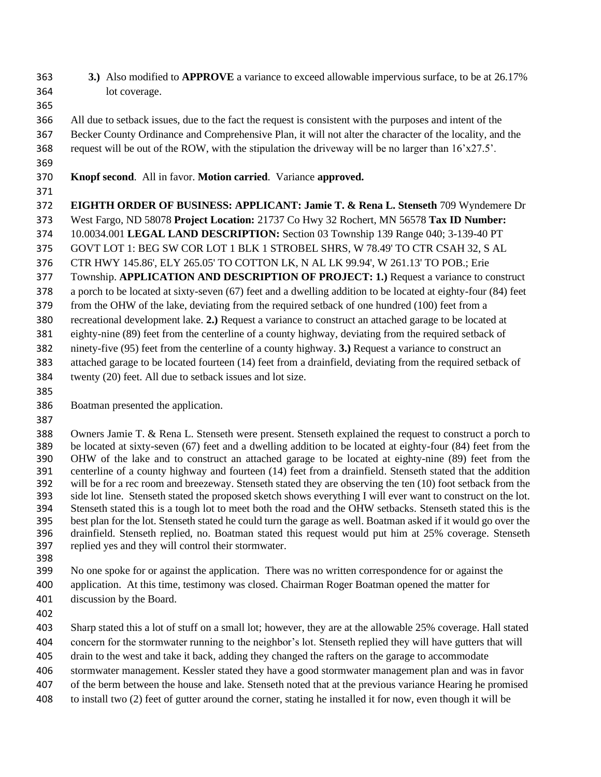- **3.)** Also modified to **APPROVE** a variance to exceed allowable impervious surface, to be at 26.17% lot coverage.
- 
- All due to setback issues, due to the fact the request is consistent with the purposes and intent of the Becker County Ordinance and Comprehensive Plan, it will not alter the character of the locality, and the request will be out of the ROW, with the stipulation the driveway will be no larger than 16'x27.5'.
- 
- **Knopf second**. All in favor. **Motion carried**. Variance **approved.**
- 
- **EIGHTH ORDER OF BUSINESS: APPLICANT: Jamie T. & Rena L. Stenseth** 709 Wyndemere Dr
- West Fargo, ND 58078 **Project Location:** 21737 Co Hwy 32 Rochert, MN 56578 **Tax ID Number:**
- 10.0034.001 **LEGAL LAND DESCRIPTION:** Section 03 Township 139 Range 040; 3-139-40 PT
- GOVT LOT 1: BEG SW COR LOT 1 BLK 1 STROBEL SHRS, W 78.49' TO CTR CSAH 32, S AL
- CTR HWY 145.86', ELY 265.05' TO COTTON LK, N AL LK 99.94', W 261.13' TO POB.; Erie
- Township. **APPLICATION AND DESCRIPTION OF PROJECT: 1.)** Request a variance to construct
- a porch to be located at sixty-seven (67) feet and a dwelling addition to be located at eighty-four (84) feet
- from the OHW of the lake, deviating from the required setback of one hundred (100) feet from a
- recreational development lake. **2.)** Request a variance to construct an attached garage to be located at
- eighty-nine (89) feet from the centerline of a county highway, deviating from the required setback of
- ninety-five (95) feet from the centerline of a county highway. **3.)** Request a variance to construct an
- attached garage to be located fourteen (14) feet from a drainfield, deviating from the required setback of twenty (20) feet. All due to setback issues and lot size.
- 
- Boatman presented the application.
- 

 Owners Jamie T. & Rena L. Stenseth were present. Stenseth explained the request to construct a porch to be located at sixty-seven (67) feet and a dwelling addition to be located at eighty-four (84) feet from the OHW of the lake and to construct an attached garage to be located at eighty-nine (89) feet from the centerline of a county highway and fourteen (14) feet from a drainfield. Stenseth stated that the addition will be for a rec room and breezeway. Stenseth stated they are observing the ten (10) foot setback from the side lot line. Stenseth stated the proposed sketch shows everything I will ever want to construct on the lot. Stenseth stated this is a tough lot to meet both the road and the OHW setbacks. Stenseth stated this is the best plan for the lot. Stenseth stated he could turn the garage as well. Boatman asked if it would go over the drainfield. Stenseth replied, no. Boatman stated this request would put him at 25% coverage. Stenseth replied yes and they will control their stormwater.

- 
- No one spoke for or against the application. There was no written correspondence for or against the
- application. At this time, testimony was closed. Chairman Roger Boatman opened the matter for
- discussion by the Board.
- 

Sharp stated this a lot of stuff on a small lot; however, they are at the allowable 25% coverage. Hall stated

- concern for the stormwater running to the neighbor's lot. Stenseth replied they will have gutters that will
- drain to the west and take it back, adding they changed the rafters on the garage to accommodate stormwater management. Kessler stated they have a good stormwater management plan and was in favor
- of the berm between the house and lake. Stenseth noted that at the previous variance Hearing he promised
- to install two (2) feet of gutter around the corner, stating he installed it for now, even though it will be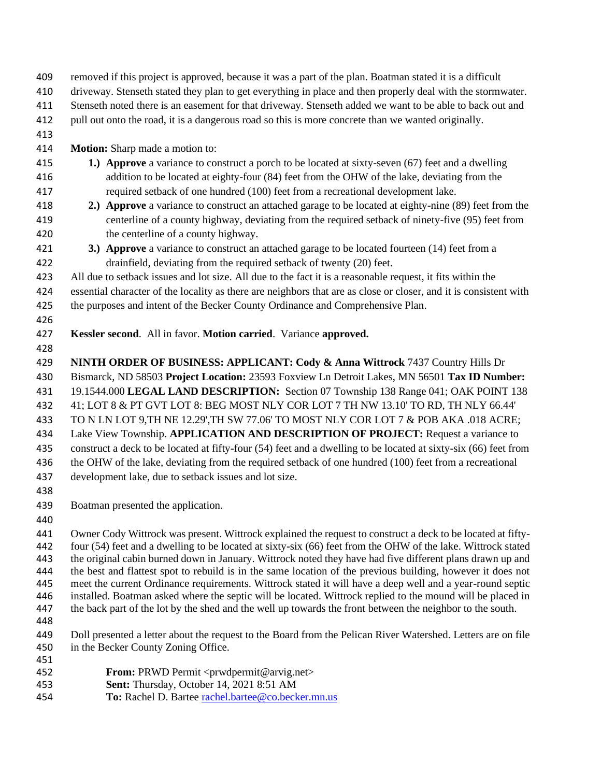- removed if this project is approved, because it was a part of the plan. Boatman stated it is a difficult
- driveway. Stenseth stated they plan to get everything in place and then properly deal with the stormwater.
- Stenseth noted there is an easement for that driveway. Stenseth added we want to be able to back out and
- pull out onto the road, it is a dangerous road so this is more concrete than we wanted originally.
- 
- **Motion:** Sharp made a motion to:
- **1.) Approve** a variance to construct a porch to be located at sixty-seven (67) feet and a dwelling addition to be located at eighty-four (84) feet from the OHW of the lake, deviating from the required setback of one hundred (100) feet from a recreational development lake.
- **2.) Approve** a variance to construct an attached garage to be located at eighty-nine (89) feet from the centerline of a county highway, deviating from the required setback of ninety-five (95) feet from the centerline of a county highway.
- **3.) Approve** a variance to construct an attached garage to be located fourteen (14) feet from a drainfield, deviating from the required setback of twenty (20) feet.
- All due to setback issues and lot size. All due to the fact it is a reasonable request, it fits within the
- essential character of the locality as there are neighbors that are as close or closer, and it is consistent with the purposes and intent of the Becker County Ordinance and Comprehensive Plan.
- 
- **Kessler second**. All in favor. **Motion carried**. Variance **approved.**
- 
- **NINTH ORDER OF BUSINESS: APPLICANT: Cody & Anna Wittrock** 7437 Country Hills Dr
- Bismarck, ND 58503 **Project Location:** 23593 Foxview Ln Detroit Lakes, MN 56501 **Tax ID Number:**
- 19.1544.000 **LEGAL LAND DESCRIPTION:** Section 07 Township 138 Range 041; OAK POINT 138
- 41; LOT 8 & PT GVT LOT 8: BEG MOST NLY COR LOT 7 TH NW 13.10' TO RD, TH NLY 66.44'
- TO N LN LOT 9,TH NE 12.29',TH SW 77.06' TO MOST NLY COR LOT 7 & POB AKA .018 ACRE;
- Lake View Township. **APPLICATION AND DESCRIPTION OF PROJECT:** Request a variance to
- construct a deck to be located at fifty-four (54) feet and a dwelling to be located at sixty-six (66) feet from
- 436 the OHW of the lake, deviating from the required setback of one hundred (100) feet from a recreational development lake, due to setback issues and lot size.
- 
- Boatman presented the application.
- 

 Owner Cody Wittrock was present. Wittrock explained the request to construct a deck to be located at fifty- four (54) feet and a dwelling to be located at sixty-six (66) feet from the OHW of the lake. Wittrock stated the original cabin burned down in January. Wittrock noted they have had five different plans drawn up and the best and flattest spot to rebuild is in the same location of the previous building, however it does not meet the current Ordinance requirements. Wittrock stated it will have a deep well and a year-round septic installed. Boatman asked where the septic will be located. Wittrock replied to the mound will be placed in the back part of the lot by the shed and the well up towards the front between the neighbor to the south. 

- Doll presented a letter about the request to the Board from the Pelican River Watershed. Letters are on file in the Becker County Zoning Office.
- **From:** PRWD Permit <prwdpermit@arvig.net>
- **Sent:** Thursday, October 14, 2021 8:51 AM
- **To:** Rachel D. Bartee [rachel.bartee@co.becker.mn.us](mailto:rachel.bartee@co.becker.mn.us)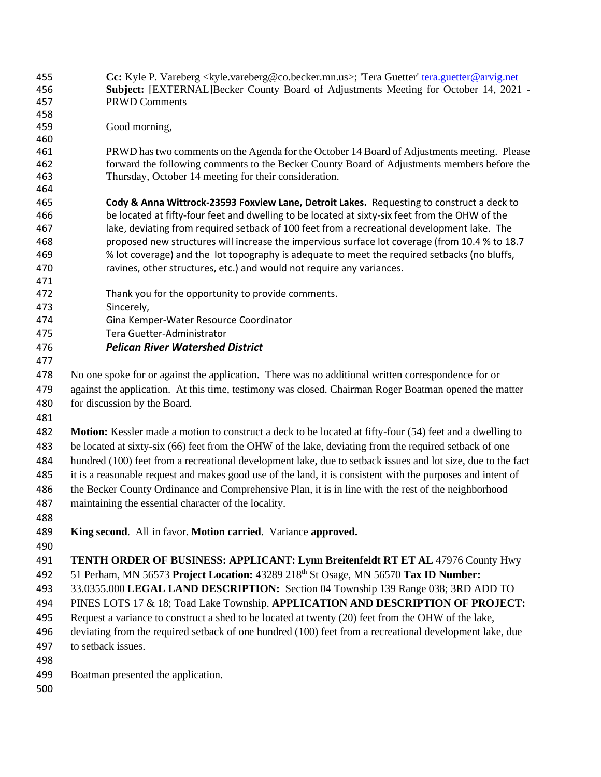**Cc:** Kyle P. Vareberg <kyle.vareberg@co.becker.mn.us>; 'Tera Guetter' [tera.guetter@arvig.net](mailto:tera.guetter@arvig.net) **Subject:** [EXTERNAL]Becker County Board of Adjustments Meeting for October 14, 2021 - PRWD Comments Good morning, PRWD has two comments on the Agenda for the October 14 Board of Adjustments meeting. Please forward the following comments to the Becker County Board of Adjustments members before the Thursday, October 14 meeting for their consideration. **Cody & Anna Wittrock-23593 Foxview Lane, Detroit Lakes.** Requesting to construct a deck to be located at fifty-four feet and dwelling to be located at sixty-six feet from the OHW of the lake, deviating from required setback of 100 feet from a recreational development lake. The proposed new structures will increase the impervious surface lot coverage (from 10.4 % to 18.7 % lot coverage) and the lot topography is adequate to meet the required setbacks (no bluffs, ravines, other structures, etc.) and would not require any variances. Thank you for the opportunity to provide comments. Sincerely, Gina Kemper-Water Resource Coordinator Tera Guetter-Administrator *Pelican River Watershed District* No one spoke for or against the application. There was no additional written correspondence for or against the application. At this time, testimony was closed. Chairman Roger Boatman opened the matter for discussion by the Board. **Motion:** Kessler made a motion to construct a deck to be located at fifty-four (54) feet and a dwelling to be located at sixty-six (66) feet from the OHW of the lake, deviating from the required setback of one hundred (100) feet from a recreational development lake, due to setback issues and lot size, due to the fact it is a reasonable request and makes good use of the land, it is consistent with the purposes and intent of the Becker County Ordinance and Comprehensive Plan, it is in line with the rest of the neighborhood maintaining the essential character of the locality. **King second**. All in favor. **Motion carried**. Variance **approved. TENTH ORDER OF BUSINESS: APPLICANT: Lynn Breitenfeldt RT ET AL** 47976 County Hwy 51 Perham, MN 56573 **Project Location:** 43289 218th St Osage, MN 56570 **Tax ID Number:**  33.0355.000 **LEGAL LAND DESCRIPTION:** Section 04 Township 139 Range 038; 3RD ADD TO PINES LOTS 17 & 18; Toad Lake Township. **APPLICATION AND DESCRIPTION OF PROJECT:**  Request a variance to construct a shed to be located at twenty (20) feet from the OHW of the lake, deviating from the required setback of one hundred (100) feet from a recreational development lake, due to setback issues. Boatman presented the application.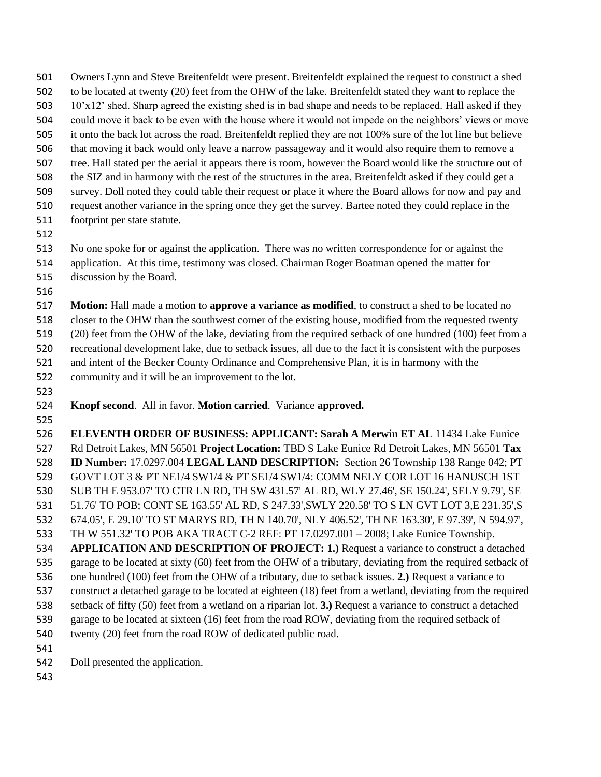Owners Lynn and Steve Breitenfeldt were present. Breitenfeldt explained the request to construct a shed to be located at twenty (20) feet from the OHW of the lake. Breitenfeldt stated they want to replace the 10'x12' shed. Sharp agreed the existing shed is in bad shape and needs to be replaced. Hall asked if they could move it back to be even with the house where it would not impede on the neighbors' views or move it onto the back lot across the road. Breitenfeldt replied they are not 100% sure of the lot line but believe that moving it back would only leave a narrow passageway and it would also require them to remove a tree. Hall stated per the aerial it appears there is room, however the Board would like the structure out of the SIZ and in harmony with the rest of the structures in the area. Breitenfeldt asked if they could get a survey. Doll noted they could table their request or place it where the Board allows for now and pay and request another variance in the spring once they get the survey. Bartee noted they could replace in the footprint per state statute.

No one spoke for or against the application. There was no written correspondence for or against the

- application. At this time, testimony was closed. Chairman Roger Boatman opened the matter for
- discussion by the Board.
- 

 **Motion:** Hall made a motion to **approve a variance as modified**, to construct a shed to be located no closer to the OHW than the southwest corner of the existing house, modified from the requested twenty (20) feet from the OHW of the lake, deviating from the required setback of one hundred (100) feet from a

recreational development lake, due to setback issues, all due to the fact it is consistent with the purposes

- and intent of the Becker County Ordinance and Comprehensive Plan, it is in harmony with the
- community and it will be an improvement to the lot.
- 

**Knopf second**. All in favor. **Motion carried**. Variance **approved.**

 **ELEVENTH ORDER OF BUSINESS: APPLICANT: Sarah A Merwin ET AL** 11434 Lake Eunice Rd Detroit Lakes, MN 56501 **Project Location:** TBD S Lake Eunice Rd Detroit Lakes, MN 56501 **Tax ID Number:** 17.0297.004 **LEGAL LAND DESCRIPTION:** Section 26 Township 138 Range 042; PT GOVT LOT 3 & PT NE1/4 SW1/4 & PT SE1/4 SW1/4: COMM NELY COR LOT 16 HANUSCH 1ST SUB TH E 953.07' TO CTR LN RD, TH SW 431.57' AL RD, WLY 27.46', SE 150.24', SELY 9.79', SE 51.76' TO POB; CONT SE 163.55' AL RD, S 247.33',SWLY 220.58' TO S LN GVT LOT 3,E 231.35',S 674.05', E 29.10' TO ST MARYS RD, TH N 140.70', NLY 406.52', TH NE 163.30', E 97.39', N 594.97', TH W 551.32' TO POB AKA TRACT C-2 REF: PT 17.0297.001 – 2008; Lake Eunice Township. **APPLICATION AND DESCRIPTION OF PROJECT: 1.)** Request a variance to construct a detached garage to be located at sixty (60) feet from the OHW of a tributary, deviating from the required setback of one hundred (100) feet from the OHW of a tributary, due to setback issues. **2.)** Request a variance to construct a detached garage to be located at eighteen (18) feet from a wetland, deviating from the required setback of fifty (50) feet from a wetland on a riparian lot. **3.)** Request a variance to construct a detached garage to be located at sixteen (16) feet from the road ROW, deviating from the required setback of 540 twenty (20) feet from the road ROW of dedicated public road.

- 
- Doll presented the application.
-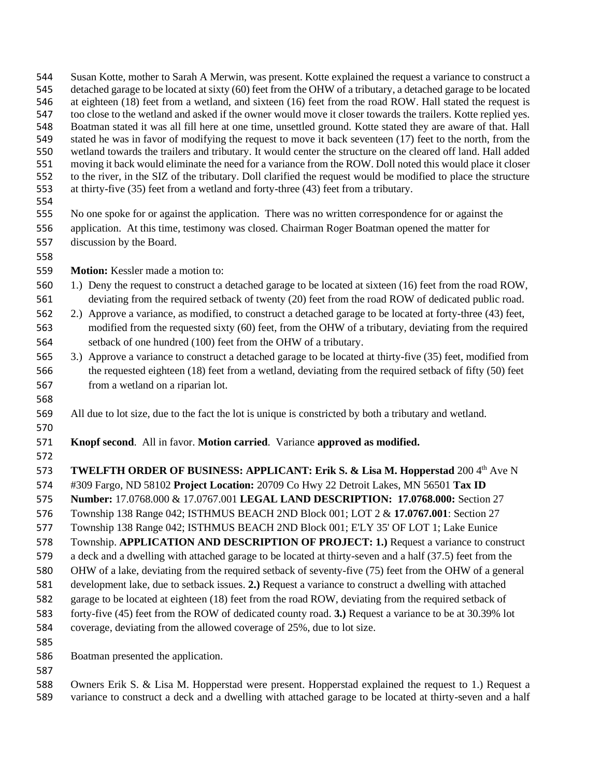Susan Kotte, mother to Sarah A Merwin, was present. Kotte explained the request a variance to construct a detached garage to be located at sixty (60) feet from the OHW of a tributary, a detached garage to be located at eighteen (18) feet from a wetland, and sixteen (16) feet from the road ROW. Hall stated the request is too close to the wetland and asked if the owner would move it closer towards the trailers. Kotte replied yes. Boatman stated it was all fill here at one time, unsettled ground. Kotte stated they are aware of that. Hall stated he was in favor of modifying the request to move it back seventeen (17) feet to the north, from the wetland towards the trailers and tributary. It would center the structure on the cleared off land. Hall added moving it back would eliminate the need for a variance from the ROW. Doll noted this would place it closer to the river, in the SIZ of the tributary. Doll clarified the request would be modified to place the structure at thirty-five (35) feet from a wetland and forty-three (43) feet from a tributary.

No one spoke for or against the application. There was no written correspondence for or against the

- application. At this time, testimony was closed. Chairman Roger Boatman opened the matter for discussion by the Board.
- 
- **Motion:** Kessler made a motion to:
- 1.) Deny the request to construct a detached garage to be located at sixteen (16) feet from the road ROW, deviating from the required setback of twenty (20) feet from the road ROW of dedicated public road.
- 2.) Approve a variance, as modified, to construct a detached garage to be located at forty-three (43) feet, modified from the requested sixty (60) feet, from the OHW of a tributary, deviating from the required setback of one hundred (100) feet from the OHW of a tributary.
- 3.) Approve a variance to construct a detached garage to be located at thirty-five (35) feet, modified from the requested eighteen (18) feet from a wetland, deviating from the required setback of fifty (50) feet from a wetland on a riparian lot.
- 

All due to lot size, due to the fact the lot is unique is constricted by both a tributary and wetland.

- 
- **Knopf second**. All in favor. **Motion carried**. Variance **approved as modified.**
- 

**TWELFTH ORDER OF BUSINESS: APPLICANT: Erik S. & Lisa M. Hopperstad 200 4th Ave N** 

- #309 Fargo, ND 58102 **Project Location:** 20709 Co Hwy 22 Detroit Lakes, MN 56501 **Tax ID**
- **Number:** 17.0768.000 & 17.0767.001 **LEGAL LAND DESCRIPTION: 17.0768.000:** Section 27
- Township 138 Range 042; ISTHMUS BEACH 2ND Block 001; LOT 2 & **17.0767.001**: Section 27
- Township 138 Range 042; ISTHMUS BEACH 2ND Block 001; E'LY 35' OF LOT 1; Lake Eunice
- Township. **APPLICATION AND DESCRIPTION OF PROJECT: 1.)** Request a variance to construct
- a deck and a dwelling with attached garage to be located at thirty-seven and a half (37.5) feet from the
- OHW of a lake, deviating from the required setback of seventy-five (75) feet from the OHW of a general
- development lake, due to setback issues. **2.)** Request a variance to construct a dwelling with attached
- garage to be located at eighteen (18) feet from the road ROW, deviating from the required setback of
- forty-five (45) feet from the ROW of dedicated county road. **3.)** Request a variance to be at 30.39% lot coverage, deviating from the allowed coverage of 25%, due to lot size.
- 
- 

Boatman presented the application.

 Owners Erik S. & Lisa M. Hopperstad were present. Hopperstad explained the request to 1.) Request a variance to construct a deck and a dwelling with attached garage to be located at thirty-seven and a half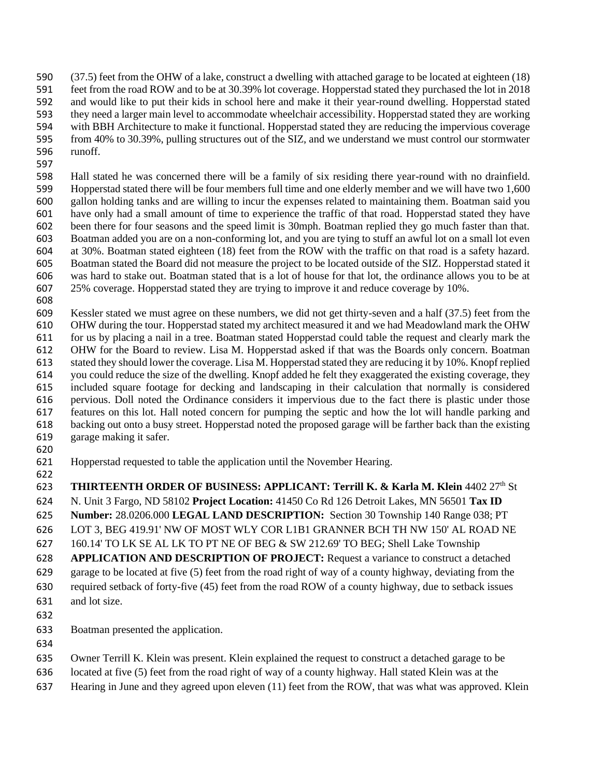(37.5) feet from the OHW of a lake, construct a dwelling with attached garage to be located at eighteen (18)

feet from the road ROW and to be at 30.39% lot coverage. Hopperstad stated they purchased the lot in 2018

- and would like to put their kids in school here and make it their year-round dwelling. Hopperstad stated
- they need a larger main level to accommodate wheelchair accessibility. Hopperstad stated they are working with BBH Architecture to make it functional. Hopperstad stated they are reducing the impervious coverage
- from 40% to 30.39%, pulling structures out of the SIZ, and we understand we must control our stormwater
- runoff.
- 

 Hall stated he was concerned there will be a family of six residing there year-round with no drainfield. Hopperstad stated there will be four members full time and one elderly member and we will have two 1,600 gallon holding tanks and are willing to incur the expenses related to maintaining them. Boatman said you have only had a small amount of time to experience the traffic of that road. Hopperstad stated they have been there for four seasons and the speed limit is 30mph. Boatman replied they go much faster than that. Boatman added you are on a non-conforming lot, and you are tying to stuff an awful lot on a small lot even at 30%. Boatman stated eighteen (18) feet from the ROW with the traffic on that road is a safety hazard. Boatman stated the Board did not measure the project to be located outside of the SIZ. Hopperstad stated it was hard to stake out. Boatman stated that is a lot of house for that lot, the ordinance allows you to be at 25% coverage. Hopperstad stated they are trying to improve it and reduce coverage by 10%.

 Kessler stated we must agree on these numbers, we did not get thirty-seven and a half (37.5) feet from the OHW during the tour. Hopperstad stated my architect measured it and we had Meadowland mark the OHW for us by placing a nail in a tree. Boatman stated Hopperstad could table the request and clearly mark the OHW for the Board to review. Lisa M. Hopperstad asked if that was the Boards only concern. Boatman stated they should lower the coverage. Lisa M. Hopperstad stated they are reducing it by 10%. Knopf replied you could reduce the size of the dwelling. Knopf added he felt they exaggerated the existing coverage, they included square footage for decking and landscaping in their calculation that normally is considered pervious. Doll noted the Ordinance considers it impervious due to the fact there is plastic under those features on this lot. Hall noted concern for pumping the septic and how the lot will handle parking and backing out onto a busy street. Hopperstad noted the proposed garage will be farther back than the existing garage making it safer.

- 
- Hopperstad requested to table the application until the November Hearing.
- 622<br>623

**THIRTEENTH ORDER OF BUSINESS: APPLICANT: Terrill K. & Karla M. Klein 4402 27th St** 

N. Unit 3 Fargo, ND 58102 **Project Location:** 41450 Co Rd 126 Detroit Lakes, MN 56501 **Tax ID** 

**Number:** 28.0206.000 **LEGAL LAND DESCRIPTION:** Section 30 Township 140 Range 038; PT

LOT 3, BEG 419.91' NW OF MOST WLY COR L1B1 GRANNER BCH TH NW 150' AL ROAD NE

160.14' TO LK SE AL LK TO PT NE OF BEG & SW 212.69' TO BEG; Shell Lake Township

**APPLICATION AND DESCRIPTION OF PROJECT:** Request a variance to construct a detached

- garage to be located at five (5) feet from the road right of way of a county highway, deviating from the
- required setback of forty-five (45) feet from the road ROW of a county highway, due to setback issues
- and lot size.
- 
- Boatman presented the application.
- 
- Owner Terrill K. Klein was present. Klein explained the request to construct a detached garage to be
- located at five (5) feet from the road right of way of a county highway. Hall stated Klein was at the
- Hearing in June and they agreed upon eleven (11) feet from the ROW, that was what was approved. Klein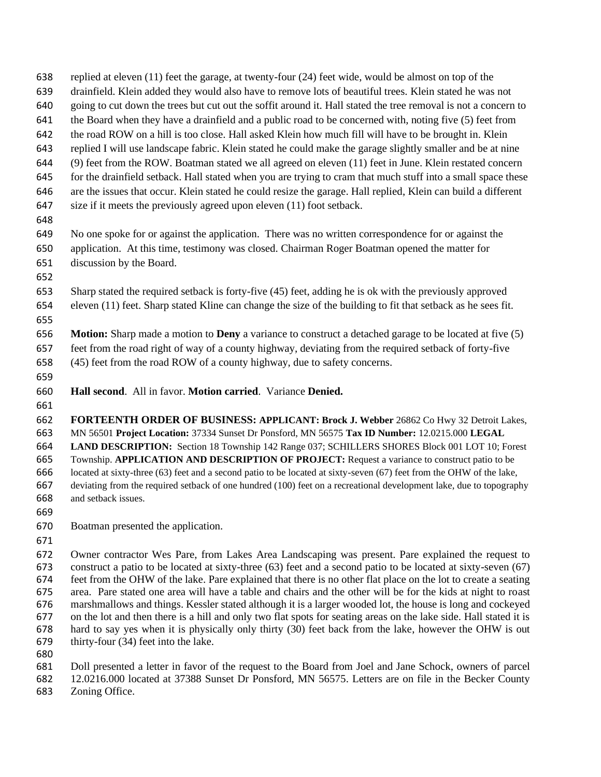- replied at eleven (11) feet the garage, at twenty-four (24) feet wide, would be almost on top of the
- drainfield. Klein added they would also have to remove lots of beautiful trees. Klein stated he was not
- going to cut down the trees but cut out the soffit around it. Hall stated the tree removal is not a concern to
- the Board when they have a drainfield and a public road to be concerned with, noting five (5) feet from
- the road ROW on a hill is too close. Hall asked Klein how much fill will have to be brought in. Klein
- replied I will use landscape fabric. Klein stated he could make the garage slightly smaller and be at nine (9) feet from the ROW. Boatman stated we all agreed on eleven (11) feet in June. Klein restated concern
- 
- for the drainfield setback. Hall stated when you are trying to cram that much stuff into a small space these are the issues that occur. Klein stated he could resize the garage. Hall replied, Klein can build a different
- size if it meets the previously agreed upon eleven (11) foot setback.
- 
- No one spoke for or against the application. There was no written correspondence for or against the application. At this time, testimony was closed. Chairman Roger Boatman opened the matter for discussion by the Board.
- 
- Sharp stated the required setback is forty-five (45) feet, adding he is ok with the previously approved eleven (11) feet. Sharp stated Kline can change the size of the building to fit that setback as he sees fit.
- **Motion:** Sharp made a motion to **Deny** a variance to construct a detached garage to be located at five (5) feet from the road right of way of a county highway, deviating from the required setback of forty-five
- (45) feet from the road ROW of a county highway, due to safety concerns.
- 
- **Hall second**. All in favor. **Motion carried**. Variance **Denied.**
- 

 **FORTEENTH ORDER OF BUSINESS: APPLICANT: Brock J. Webber** 26862 Co Hwy 32 Detroit Lakes, MN 56501 **Project Location:** 37334 Sunset Dr Ponsford, MN 56575 **Tax ID Number:** 12.0215.000 **LEGAL LAND DESCRIPTION:** Section 18 Township 142 Range 037; SCHILLERS SHORES Block 001 LOT 10; Forest Township. **APPLICATION AND DESCRIPTION OF PROJECT:** Request a variance to construct patio to be located at sixty-three (63) feet and a second patio to be located at sixty-seven (67) feet from the OHW of the lake, deviating from the required setback of one hundred (100) feet on a recreational development lake, due to topography and setback issues.

- 
- Boatman presented the application.
- 

 Owner contractor Wes Pare, from Lakes Area Landscaping was present. Pare explained the request to construct a patio to be located at sixty-three (63) feet and a second patio to be located at sixty-seven (67) feet from the OHW of the lake. Pare explained that there is no other flat place on the lot to create a seating area. Pare stated one area will have a table and chairs and the other will be for the kids at night to roast marshmallows and things. Kessler stated although it is a larger wooded lot, the house is long and cockeyed on the lot and then there is a hill and only two flat spots for seating areas on the lake side. Hall stated it is hard to say yes when it is physically only thirty (30) feet back from the lake, however the OHW is out thirty-four (34) feet into the lake.

 Doll presented a letter in favor of the request to the Board from Joel and Jane Schock, owners of parcel 12.0216.000 located at 37388 Sunset Dr Ponsford, MN 56575. Letters are on file in the Becker County

Zoning Office.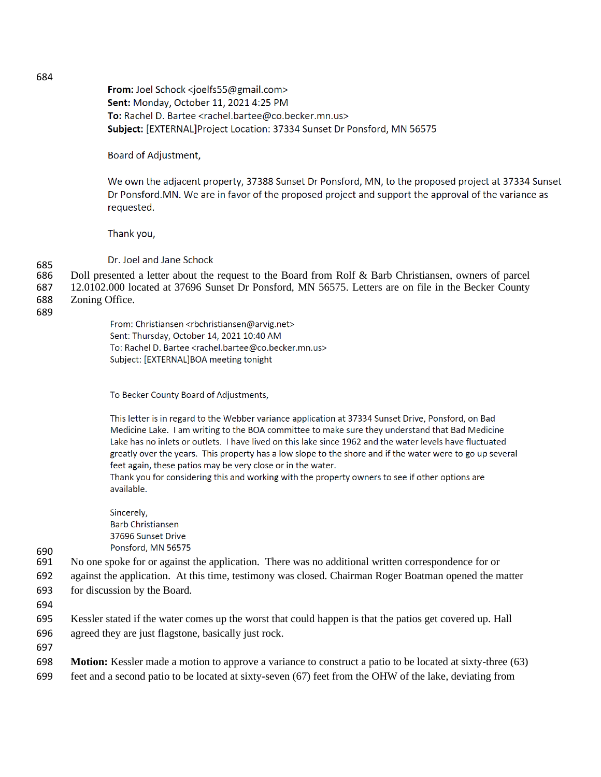From: Joel Schock <joelfs55@gmail.com> Sent: Monday, October 11, 2021 4:25 PM To: Rachel D. Bartee <rachel.bartee@co.becker.mn.us> Subject: [EXTERNAL]Project Location: 37334 Sunset Dr Ponsford, MN 56575

Board of Adjustment,

We own the adjacent property, 37388 Sunset Dr Ponsford, MN, to the proposed project at 37334 Sunset Dr Ponsford.MN. We are in favor of the proposed project and support the approval of the variance as requested.

Thank you,

Dr. Joel and Jane Schock

- 685<br>686 Doll presented a letter about the request to the Board from Rolf & Barb Christiansen, owners of parcel
- 687 12.0102.000 located at 37696 Sunset Dr Ponsford, MN 56575. Letters are on file in the Becker County
- 688 Zoning Office.
- 689

From: Christiansen <rbchristiansen@arvig.net> Sent: Thursday, October 14, 2021 10:40 AM To: Rachel D. Bartee <rachel.bartee@co.becker.mn.us> Subject: [EXTERNAL]BOA meeting tonight

To Becker County Board of Adjustments,

This letter is in regard to the Webber variance application at 37334 Sunset Drive, Ponsford, on Bad Medicine Lake. I am writing to the BOA committee to make sure they understand that Bad Medicine Lake has no inlets or outlets. I have lived on this lake since 1962 and the water levels have fluctuated greatly over the years. This property has a low slope to the shore and if the water were to go up several feet again, these patios may be very close or in the water.

Thank you for considering this and working with the property owners to see if other options are available.

Sincerely, **Barb Christiansen** 37696 Sunset Drive Ponsford, MN 56575

- 690<br>691 No one spoke for or against the application. There was no additional written correspondence for or
- 692 against the application. At this time, testimony was closed. Chairman Roger Boatman opened the matter 693 for discussion by the Board.
- 694

695 Kessler stated if the water comes up the worst that could happen is that the patios get covered up. Hall 696 agreed they are just flagstone, basically just rock.

697

- 698 **Motion:** Kessler made a motion to approve a variance to construct a patio to be located at sixty-three (63)
- 699 feet and a second patio to be located at sixty-seven (67) feet from the OHW of the lake, deviating from

684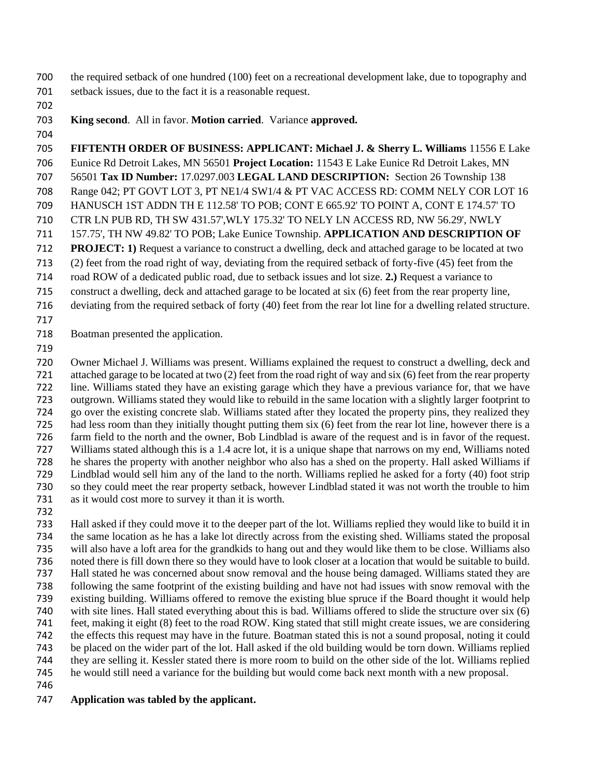the required setback of one hundred (100) feet on a recreational development lake, due to topography and setback issues, due to the fact it is a reasonable request.

## **King second**. All in favor. **Motion carried**. Variance **approved.**

 **FIFTENTH ORDER OF BUSINESS: APPLICANT: Michael J. & Sherry L. Williams** 11556 E Lake Eunice Rd Detroit Lakes, MN 56501 **Project Location:** 11543 E Lake Eunice Rd Detroit Lakes, MN 56501 **Tax ID Number:** 17.0297.003 **LEGAL LAND DESCRIPTION:** Section 26 Township 138 Range 042; PT GOVT LOT 3, PT NE1/4 SW1/4 & PT VAC ACCESS RD: COMM NELY COR LOT 16 HANUSCH 1ST ADDN TH E 112.58' TO POB; CONT E 665.92' TO POINT A, CONT E 174.57' TO CTR LN PUB RD, TH SW 431.57',WLY 175.32' TO NELY LN ACCESS RD, NW 56.29', NWLY 157.75', TH NW 49.82' TO POB; Lake Eunice Township. **APPLICATION AND DESCRIPTION OF PROJECT: 1)** Request a variance to construct a dwelling, deck and attached garage to be located at two (2) feet from the road right of way, deviating from the required setback of forty-five (45) feet from the road ROW of a dedicated public road, due to setback issues and lot size. **2.)** Request a variance to construct a dwelling, deck and attached garage to be located at six (6) feet from the rear property line, deviating from the required setback of forty (40) feet from the rear lot line for a dwelling related structure.

Boatman presented the application.

 Owner Michael J. Williams was present. Williams explained the request to construct a dwelling, deck and attached garage to be located at two (2) feet from the road right of way and six (6) feet from the rear property line. Williams stated they have an existing garage which they have a previous variance for, that we have outgrown. Williams stated they would like to rebuild in the same location with a slightly larger footprint to go over the existing concrete slab. Williams stated after they located the property pins, they realized they had less room than they initially thought putting them six (6) feet from the rear lot line, however there is a farm field to the north and the owner, Bob Lindblad is aware of the request and is in favor of the request. Williams stated although this is a 1.4 acre lot, it is a unique shape that narrows on my end, Williams noted he shares the property with another neighbor who also has a shed on the property. Hall asked Williams if Lindblad would sell him any of the land to the north. Williams replied he asked for a forty (40) foot strip so they could meet the rear property setback, however Lindblad stated it was not worth the trouble to him as it would cost more to survey it than it is worth.

 Hall asked if they could move it to the deeper part of the lot. Williams replied they would like to build it in the same location as he has a lake lot directly across from the existing shed. Williams stated the proposal will also have a loft area for the grandkids to hang out and they would like them to be close. Williams also noted there is fill down there so they would have to look closer at a location that would be suitable to build. Hall stated he was concerned about snow removal and the house being damaged. Williams stated they are following the same footprint of the existing building and have not had issues with snow removal with the existing building. Williams offered to remove the existing blue spruce if the Board thought it would help with site lines. Hall stated everything about this is bad. Williams offered to slide the structure over six (6) feet, making it eight (8) feet to the road ROW. King stated that still might create issues, we are considering the effects this request may have in the future. Boatman stated this is not a sound proposal, noting it could be placed on the wider part of the lot. Hall asked if the old building would be torn down. Williams replied they are selling it. Kessler stated there is more room to build on the other side of the lot. Williams replied he would still need a variance for the building but would come back next month with a new proposal.

## **Application was tabled by the applicant.**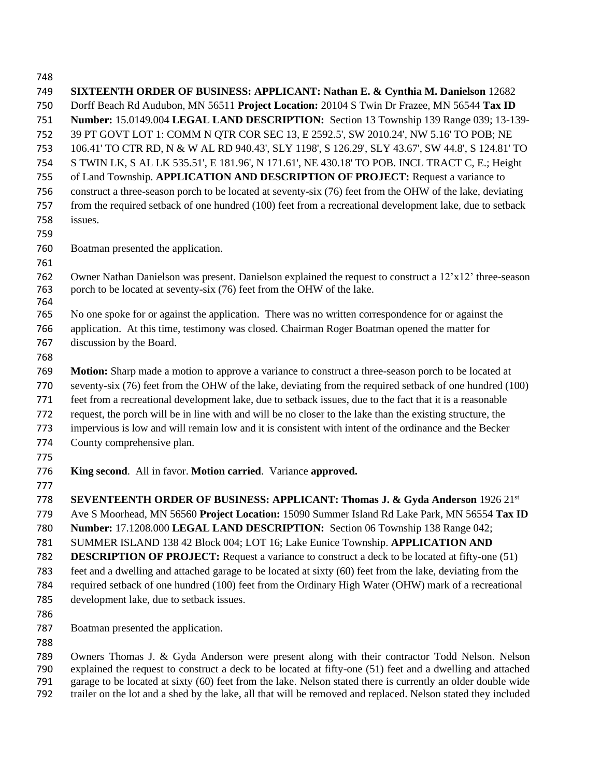**SIXTEENTH ORDER OF BUSINESS: APPLICANT: Nathan E. & Cynthia M. Danielson** 12682 Dorff Beach Rd Audubon, MN 56511 **Project Location:** 20104 S Twin Dr Frazee, MN 56544 **Tax ID Number:** 15.0149.004 **LEGAL LAND DESCRIPTION:** Section 13 Township 139 Range 039; 13-139- 39 PT GOVT LOT 1: COMM N QTR COR SEC 13, E 2592.5', SW 2010.24', NW 5.16' TO POB; NE 106.41' TO CTR RD, N & W AL RD 940.43', SLY 1198', S 126.29', SLY 43.67', SW 44.8', S 124.81' TO S TWIN LK, S AL LK 535.51', E 181.96', N 171.61', NE 430.18' TO POB. INCL TRACT C, E.; Height of Land Township. **APPLICATION AND DESCRIPTION OF PROJECT:** Request a variance to construct a three-season porch to be located at seventy-six (76) feet from the OHW of the lake, deviating from the required setback of one hundred (100) feet from a recreational development lake, due to setback issues. Boatman presented the application. Owner Nathan Danielson was present. Danielson explained the request to construct a 12'x12' three-season porch to be located at seventy-six (76) feet from the OHW of the lake. No one spoke for or against the application. There was no written correspondence for or against the application. At this time, testimony was closed. Chairman Roger Boatman opened the matter for discussion by the Board. **Motion:** Sharp made a motion to approve a variance to construct a three-season porch to be located at seventy-six (76) feet from the OHW of the lake, deviating from the required setback of one hundred (100) feet from a recreational development lake, due to setback issues, due to the fact that it is a reasonable request, the porch will be in line with and will be no closer to the lake than the existing structure, the impervious is low and will remain low and it is consistent with intent of the ordinance and the Becker County comprehensive plan. **King second**. All in favor. **Motion carried**. Variance **approved. SEVENTEENTH ORDER OF BUSINESS: APPLICANT: Thomas J. & Gyda Anderson** 1926 21st Ave S Moorhead, MN 56560 **Project Location:** 15090 Summer Island Rd Lake Park, MN 56554 **Tax ID Number:** 17.1208.000 **LEGAL LAND DESCRIPTION:** Section 06 Township 138 Range 042; SUMMER ISLAND 138 42 Block 004; LOT 16; Lake Eunice Township. **APPLICATION AND DESCRIPTION OF PROJECT:** Request a variance to construct a deck to be located at fifty-one (51) feet and a dwelling and attached garage to be located at sixty (60) feet from the lake, deviating from the required setback of one hundred (100) feet from the Ordinary High Water (OHW) mark of a recreational development lake, due to setback issues. Boatman presented the application. Owners Thomas J. & Gyda Anderson were present along with their contractor Todd Nelson. Nelson explained the request to construct a deck to be located at fifty-one (51) feet and a dwelling and attached garage to be located at sixty (60) feet from the lake. Nelson stated there is currently an older double wide

trailer on the lot and a shed by the lake, all that will be removed and replaced. Nelson stated they included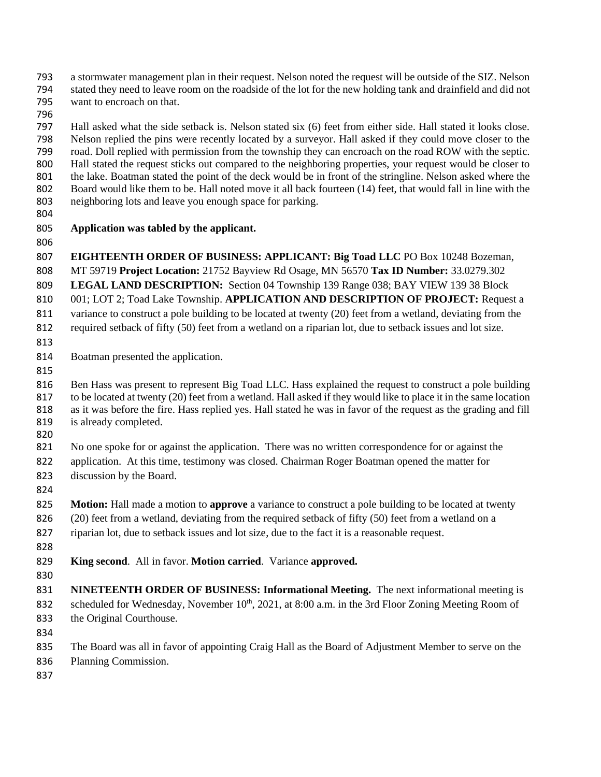- a stormwater management plan in their request. Nelson noted the request will be outside of the SIZ. Nelson stated they need to leave room on the roadside of the lot for the new holding tank and drainfield and did not want to encroach on that.
- 

 Hall asked what the side setback is. Nelson stated six (6) feet from either side. Hall stated it looks close. Nelson replied the pins were recently located by a surveyor. Hall asked if they could move closer to the road. Doll replied with permission from the township they can encroach on the road ROW with the septic. Hall stated the request sticks out compared to the neighboring properties, your request would be closer to the lake. Boatman stated the point of the deck would be in front of the stringline. Nelson asked where the 802 Board would like them to be. Hall noted move it all back fourteen (14) feet, that would fall in line with the neighboring lots and leave you enough space for parking.

## **Application was tabled by the applicant.**

 **EIGHTEENTH ORDER OF BUSINESS: APPLICANT: Big Toad LLC** PO Box 10248 Bozeman, MT 59719 **Project Location:** 21752 Bayview Rd Osage, MN 56570 **Tax ID Number:** 33.0279.302 **LEGAL LAND DESCRIPTION:** Section 04 Township 139 Range 038; BAY VIEW 139 38 Block 001; LOT 2; Toad Lake Township. **APPLICATION AND DESCRIPTION OF PROJECT:** Request a variance to construct a pole building to be located at twenty (20) feet from a wetland, deviating from the

required setback of fifty (50) feet from a wetland on a riparian lot, due to setback issues and lot size.

- 
- Boatman presented the application.
- 

 Ben Hass was present to represent Big Toad LLC. Hass explained the request to construct a pole building to be located at twenty (20) feet from a wetland. Hall asked if they would like to place it in the same location 818 as it was before the fire. Hass replied yes. Hall stated he was in favor of the request as the grading and fill is already completed.

No one spoke for or against the application. There was no written correspondence for or against the

application. At this time, testimony was closed. Chairman Roger Boatman opened the matter for

- discussion by the Board.
- 

**Motion:** Hall made a motion to **approve** a variance to construct a pole building to be located at twenty

826 (20) feet from a wetland, deviating from the required setback of fifty (50) feet from a wetland on a

riparian lot, due to setback issues and lot size, due to the fact it is a reasonable request.

- 
- **King second**. All in favor. **Motion carried**. Variance **approved.**
- 

 **NINETEENTH ORDER OF BUSINESS: Informational Meeting.** The next informational meeting is 832 scheduled for Wednesday, November 10<sup>th</sup>, 2021, at 8:00 a.m. in the 3rd Floor Zoning Meeting Room of the Original Courthouse.

- 
- The Board was all in favor of appointing Craig Hall as the Board of Adjustment Member to serve on the
- Planning Commission.
-